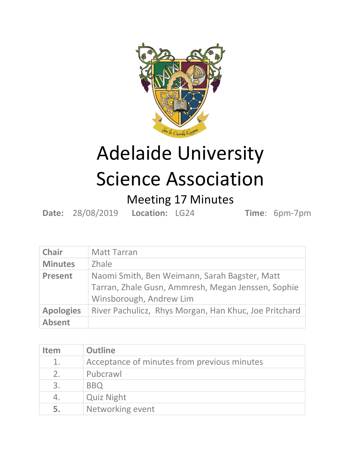

## Adelaide University Science Association

## Meeting 17 Minutes

**Date:** 28/08/2019 **Location:** LG24 **Time**: 6pm-7pm

| <b>Chair</b>     | <b>Matt Tarran</b>                                    |
|------------------|-------------------------------------------------------|
| <b>Minutes</b>   | <b>Zhale</b>                                          |
| <b>Present</b>   | Naomi Smith, Ben Weimann, Sarah Bagster, Matt         |
|                  | Tarran, Zhale Gusn, Ammresh, Megan Jenssen, Sophie    |
|                  | Winsborough, Andrew Lim                               |
| <b>Apologies</b> | River Pachulicz, Rhys Morgan, Han Khuc, Joe Pritchard |
| <b>Absent</b>    |                                                       |

| <b>Item</b> | <b>Outline</b>                              |
|-------------|---------------------------------------------|
| 1.          | Acceptance of minutes from previous minutes |
| 2.          | Pubcrawl                                    |
| 3.          | <b>BBQ</b>                                  |
| 4.          | <b>Quiz Night</b>                           |
| 5.          | Networking event                            |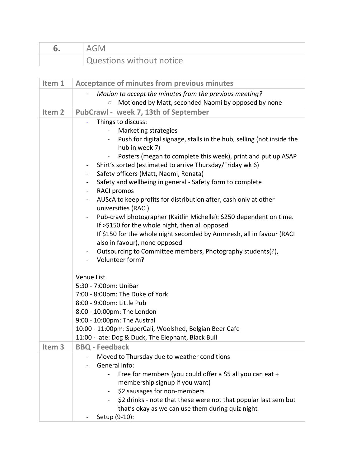| AGM.                     |
|--------------------------|
| Questions without notice |

| Item 1            | <b>Acceptance of minutes from previous minutes</b>                                                                                                                                                                                                                                                                                                                                                                                                                                                                                                                                                                                                                                                                                                                                                                                                                                                                                                                                                                                                                                                                                                                      |
|-------------------|-------------------------------------------------------------------------------------------------------------------------------------------------------------------------------------------------------------------------------------------------------------------------------------------------------------------------------------------------------------------------------------------------------------------------------------------------------------------------------------------------------------------------------------------------------------------------------------------------------------------------------------------------------------------------------------------------------------------------------------------------------------------------------------------------------------------------------------------------------------------------------------------------------------------------------------------------------------------------------------------------------------------------------------------------------------------------------------------------------------------------------------------------------------------------|
|                   | Motion to accept the minutes from the previous meeting?<br>$\overline{\phantom{0}}$<br>Motioned by Matt, seconded Naomi by opposed by none                                                                                                                                                                                                                                                                                                                                                                                                                                                                                                                                                                                                                                                                                                                                                                                                                                                                                                                                                                                                                              |
| Item <sub>2</sub> | PubCrawl - week 7, 13th of September                                                                                                                                                                                                                                                                                                                                                                                                                                                                                                                                                                                                                                                                                                                                                                                                                                                                                                                                                                                                                                                                                                                                    |
|                   | Things to discuss:<br>Marketing strategies<br>Push for digital signage, stalls in the hub, selling (not inside the<br>$\blacksquare$<br>hub in week 7)<br>Posters (megan to complete this week), print and put up ASAP<br>$\blacksquare$<br>Shirt's sorted (estimated to arrive Thursday/Friday wk 6)<br>$\qquad \qquad \blacksquare$<br>Safety officers (Matt, Naomi, Renata)<br>$\blacksquare$<br>Safety and wellbeing in general - Safety form to complete<br>$\blacksquare$<br><b>RACI promos</b><br>Ξ.<br>AUScA to keep profits for distribution after, cash only at other<br>$\blacksquare$<br>universities (RACI)<br>Pub-crawl photographer (Kaitlin Michelle): \$250 dependent on time.<br>$\blacksquare$<br>If >\$150 for the whole night, then all opposed<br>If \$150 for the whole night seconded by Ammresh, all in favour (RACI<br>also in favour), none opposed<br>Outsourcing to Committee members, Photography students(?),<br>$\blacksquare$<br>Volunteer form?<br>$\blacksquare$<br>Venue List<br>5:30 - 7:00pm: UniBar<br>7:00 - 8:00pm: The Duke of York<br>8:00 - 9:00pm: Little Pub<br>8:00 - 10:00pm: The London<br>9:00 - 10:00pm: The Austral |
|                   | 10:00 - 11:00pm: SuperCali, Woolshed, Belgian Beer Cafe<br>11:00 - late: Dog & Duck, The Elephant, Black Bull                                                                                                                                                                                                                                                                                                                                                                                                                                                                                                                                                                                                                                                                                                                                                                                                                                                                                                                                                                                                                                                           |
| Item <sub>3</sub> | <b>BBQ - Feedback</b>                                                                                                                                                                                                                                                                                                                                                                                                                                                                                                                                                                                                                                                                                                                                                                                                                                                                                                                                                                                                                                                                                                                                                   |
|                   | Moved to Thursday due to weather conditions<br>General info:<br>Free for members (you could offer a \$5 all you can eat +<br>membership signup if you want)<br>\$2 sausages for non-members<br>\$2 drinks - note that these were not that popular last sem but<br>that's okay as we can use them during quiz night<br>Setup (9-10):                                                                                                                                                                                                                                                                                                                                                                                                                                                                                                                                                                                                                                                                                                                                                                                                                                     |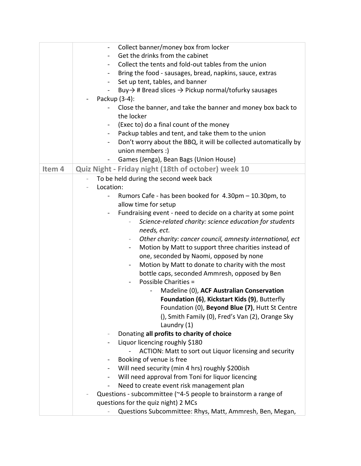|        | Collect banner/money box from locker<br>$\overline{\phantom{0}}$                                      |
|--------|-------------------------------------------------------------------------------------------------------|
|        | Get the drinks from the cabinet                                                                       |
|        | Collect the tents and fold-out tables from the union<br>$\blacksquare$                                |
|        | Bring the food - sausages, bread, napkins, sauce, extras                                              |
|        | Set up tent, tables, and banner<br>$\blacksquare$                                                     |
|        | Buy $\rightarrow$ # Bread slices $\rightarrow$ Pickup normal/tofurky sausages                         |
|        | Packup (3-4):                                                                                         |
|        | Close the banner, and take the banner and money box back to<br>the locker                             |
|        | (Exec to) do a final count of the money                                                               |
|        | $\sim$<br>Packup tables and tent, and take them to the union<br>$\blacksquare$                        |
|        | Don't worry about the BBQ, it will be collected automatically by<br>$\blacksquare$                    |
|        | union members :)                                                                                      |
|        | Games (Jenga), Bean Bags (Union House)                                                                |
|        | $\blacksquare$                                                                                        |
| Item 4 | Quiz Night - Friday night (18th of october) week 10                                                   |
|        | To be held during the second week back                                                                |
|        | Location:                                                                                             |
|        | Rumors Cafe - has been booked for 4.30pm - 10.30pm, to<br>-                                           |
|        | allow time for setup                                                                                  |
|        | Fundraising event - need to decide on a charity at some point<br>Ξ.                                   |
|        | Science-related charity: science education for students                                               |
|        | needs, ect.                                                                                           |
|        | Other charity: cancer council, amnesty international, ect<br>$\overline{\phantom{a}}$                 |
|        | Motion by Matt to support three charities instead of<br>$\blacksquare$                                |
|        | one, seconded by Naomi, opposed by none                                                               |
|        | Motion by Matt to donate to charity with the most<br>$\qquad \qquad \blacksquare$                     |
|        | bottle caps, seconded Ammresh, opposed by Ben                                                         |
|        | Possible Charities =                                                                                  |
|        | Madeline (0), ACF Australian Conservation                                                             |
|        | Foundation (6), Kickstart Kids (9), Butterfly                                                         |
|        | Foundation (0), <b>Beyond Blue (7)</b> , Hutt St Centre                                               |
|        | (), Smith Family (0), Fred's Van (2), Orange Sky                                                      |
|        | Laundry (1)                                                                                           |
|        | Donating all profits to charity of choice                                                             |
|        | Liquor licencing roughly \$180                                                                        |
|        | ACTION: Matt to sort out Liquor licensing and security                                                |
|        | Booking of venue is free                                                                              |
|        | Will need security (min 4 hrs) roughly \$200ish<br>-                                                  |
|        | Will need approval from Toni for liquor licencing                                                     |
|        | Need to create event risk management plan<br>$\overline{\phantom{0}}$                                 |
|        | Questions - subcommittee (~4-5 people to brainstorm a range of<br>questions for the quiz night) 2 MCs |
|        |                                                                                                       |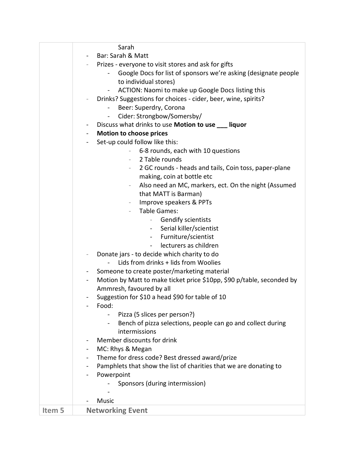|        | Sarah                                                                                   |
|--------|-----------------------------------------------------------------------------------------|
|        | Bar: Sarah & Matt                                                                       |
|        | Prizes - everyone to visit stores and ask for gifts                                     |
|        | Google Docs for list of sponsors we're asking (designate people                         |
|        | to individual stores)                                                                   |
|        | ACTION: Naomi to make up Google Docs listing this<br>$\blacksquare$                     |
|        | Drinks? Suggestions for choices - cider, beer, wine, spirits?                           |
|        | Beer: Superdry, Corona                                                                  |
|        | Cider: Strongbow/Somersby/<br>$\frac{1}{2}$                                             |
|        | Discuss what drinks to use Motion to use ___ liquor<br>$\blacksquare$                   |
|        | <b>Motion to choose prices</b>                                                          |
|        | Set-up could follow like this:<br>$\sim$                                                |
|        | 6-8 rounds, each with 10 questions                                                      |
|        | 2 Table rounds<br>$\overline{\phantom{a}}$                                              |
|        | 2 GC rounds - heads and tails, Coin toss, paper-plane<br>$-$                            |
|        | making, coin at bottle etc                                                              |
|        | Also need an MC, markers, ect. On the night (Assumed<br>$\overline{\phantom{a}}$        |
|        | that MATT is Barman)                                                                    |
|        | Improve speakers & PPTs<br>$\overline{\phantom{a}}$                                     |
|        | <b>Table Games:</b>                                                                     |
|        | <b>Gendify scientists</b>                                                               |
|        | Serial killer/scientist                                                                 |
|        | Furniture/scientist                                                                     |
|        | $\sim$ 10 $\pm$<br>lecturers as children                                                |
|        | $\sim$                                                                                  |
|        | Donate jars - to decide which charity to do<br>Lids from drinks + lids from Woolies     |
|        |                                                                                         |
|        | Someone to create poster/marketing material<br>$\blacksquare$                           |
|        | Motion by Matt to make ticket price \$10pp, \$90 p/table, seconded by<br>$\blacksquare$ |
|        | Ammresh, favoured by all                                                                |
|        | Suggestion for \$10 a head \$90 for table of 10                                         |
|        | Food:                                                                                   |
|        | Pizza (5 slices per person?)                                                            |
|        | Bench of pizza selections, people can go and collect during<br>$\blacksquare$           |
|        | intermissions                                                                           |
|        | Member discounts for drink                                                              |
|        | MC: Rhys & Megan                                                                        |
|        | Theme for dress code? Best dressed award/prize<br>$\blacksquare$                        |
|        | Pamphlets that show the list of charities that we are donating to                       |
|        | Powerpoint                                                                              |
|        | Sponsors (during intermission)                                                          |
|        |                                                                                         |
|        | Music                                                                                   |
| Item 5 | <b>Networking Event</b>                                                                 |